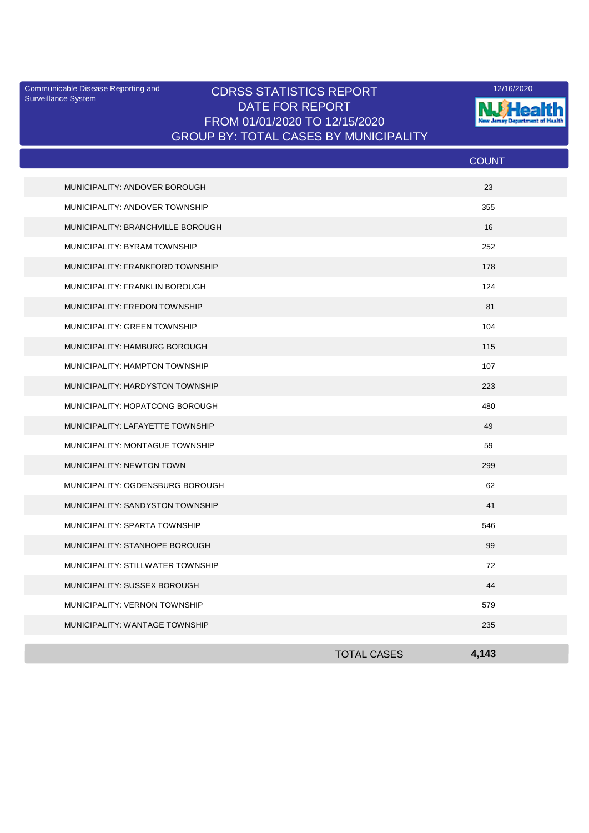Surveillance System

## Communicable Disease Reporting and **CDRSS STATISTICS REPORT** 12/16/2020<br>Surveillance Statem DATE FOR REPORT FROM 01/01/2020 TO 12/15/2020 GROUP BY: TOTAL CASES BY MUNICIPALITY



|                                   |                    | <b>COUNT</b> |
|-----------------------------------|--------------------|--------------|
| MUNICIPALITY: ANDOVER BOROUGH     |                    | 23           |
| MUNICIPALITY: ANDOVER TOWNSHIP    |                    | 355          |
| MUNICIPALITY: BRANCHVILLE BOROUGH |                    | 16           |
| MUNICIPALITY: BYRAM TOWNSHIP      |                    | 252          |
| MUNICIPALITY: FRANKFORD TOWNSHIP  |                    | 178          |
| MUNICIPALITY: FRANKLIN BOROUGH    |                    | 124          |
| MUNICIPALITY: FREDON TOWNSHIP     |                    | 81           |
| MUNICIPALITY: GREEN TOWNSHIP      |                    | 104          |
| MUNICIPALITY: HAMBURG BOROUGH     |                    | 115          |
| MUNICIPALITY: HAMPTON TOWNSHIP    |                    | 107          |
| MUNICIPALITY: HARDYSTON TOWNSHIP  |                    | 223          |
| MUNICIPALITY: HOPATCONG BOROUGH   |                    | 480          |
| MUNICIPALITY: LAFAYETTE TOWNSHIP  |                    | 49           |
| MUNICIPALITY: MONTAGUE TOWNSHIP   |                    | 59           |
| MUNICIPALITY: NEWTON TOWN         |                    | 299          |
| MUNICIPALITY: OGDENSBURG BOROUGH  |                    | 62           |
| MUNICIPALITY: SANDYSTON TOWNSHIP  |                    | 41           |
| MUNICIPALITY: SPARTA TOWNSHIP     |                    | 546          |
| MUNICIPALITY: STANHOPE BOROUGH    |                    | 99           |
| MUNICIPALITY: STILLWATER TOWNSHIP |                    | 72           |
| MUNICIPALITY: SUSSEX BOROUGH      |                    | 44           |
| MUNICIPALITY: VERNON TOWNSHIP     |                    | 579          |
| MUNICIPALITY: WANTAGE TOWNSHIP    |                    | 235          |
|                                   | <b>TOTAL CASES</b> | 4.143        |
|                                   |                    |              |